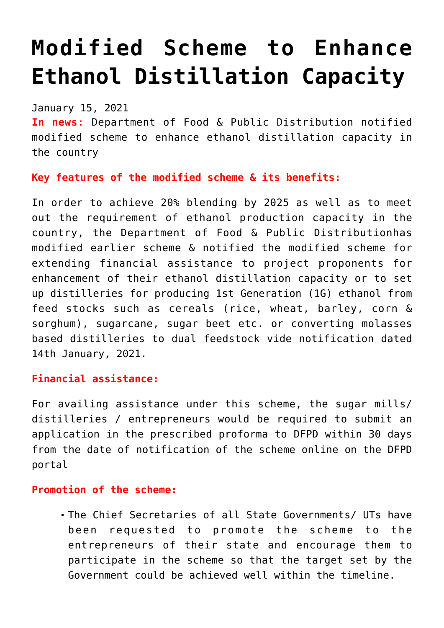# **[Modified Scheme to Enhance](https://journalsofindia.com/modified-scheme-to-enhance-ethanol-distillation-capacity/) [Ethanol Distillation Capacity](https://journalsofindia.com/modified-scheme-to-enhance-ethanol-distillation-capacity/)**

#### January 15, 2021

**In news:** Department of Food & Public Distribution notified modified scheme to enhance ethanol distillation capacity in the country

## **Key features of the modified scheme & its benefits:**

In order to achieve 20% blending by 2025 as well as to meet out the requirement of ethanol production capacity in the country, the Department of Food & Public Distributionhas modified earlier scheme & notified the modified scheme for extending financial assistance to project proponents for enhancement of their ethanol distillation capacity or to set up distilleries for producing 1st Generation (1G) ethanol from feed stocks such as cereals (rice, wheat, barley, corn & sorghum), sugarcane, sugar beet etc. or converting molasses based distilleries to dual feedstock vide notification dated 14th January, 2021.

#### **Financial assistance:**

For availing assistance under this scheme, the sugar mills/ distilleries / entrepreneurs would be required to submit an application in the prescribed proforma to DFPD within 30 days from the date of notification of the scheme online on the DFPD portal

#### **Promotion of the scheme:**

The Chief Secretaries of all State Governments/ UTs have been requested to promote the scheme to the entrepreneurs of their state and encourage them to participate in the scheme so that the target set by the Government could be achieved well within the timeline.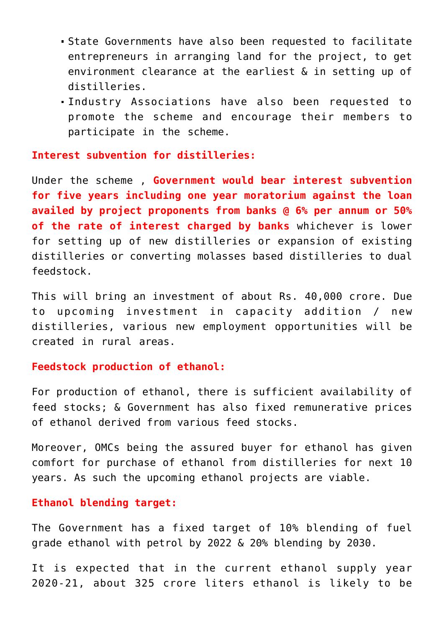- State Governments have also been requested to facilitate entrepreneurs in arranging land for the project, to get environment clearance at the earliest & in setting up of distilleries.
- Industry Associations have also been requested to promote the scheme and encourage their members to participate in the scheme.

**Interest subvention for distilleries:** 

Under the scheme , **Government would bear interest subvention for five years including one year moratorium against the loan availed by project proponents from banks @ 6% per annum or 50% of the rate of interest charged by banks** whichever is lower for setting up of new distilleries or expansion of existing distilleries or converting molasses based distilleries to dual feedstock.

This will bring an investment of about Rs. 40,000 crore. Due to upcoming investment in capacity addition / new distilleries, various new employment opportunities will be created in rural areas.

#### **Feedstock production of ethanol:**

For production of ethanol, there is sufficient availability of feed stocks; & Government has also fixed remunerative prices of ethanol derived from various feed stocks.

Moreover, OMCs being the assured buyer for ethanol has given comfort for purchase of ethanol from distilleries for next 10 years. As such the upcoming ethanol projects are viable.

#### **Ethanol blending target:**

The Government has a fixed target of 10% blending of fuel grade ethanol with petrol by 2022 & 20% blending by 2030.

It is expected that in the current ethanol supply year 2020-21, about 325 crore liters ethanol is likely to be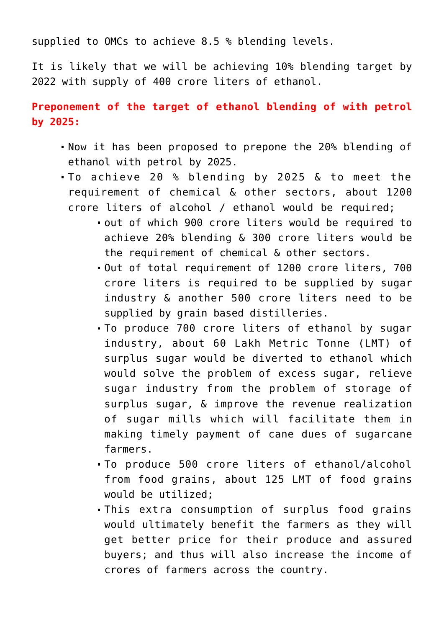supplied to OMCs to achieve 8.5 % blending levels.

It is likely that we will be achieving 10% blending target by 2022 with supply of 400 crore liters of ethanol.

**Preponement of the target of ethanol blending of with petrol by 2025:**

- Now it has been proposed to prepone the 20% blending of ethanol with petrol by 2025.
- To achieve 20 % blending by 2025 & to meet the requirement of chemical & other sectors, about 1200 crore liters of alcohol / ethanol would be required;
	- out of which 900 crore liters would be required to achieve 20% blending & 300 crore liters would be the requirement of chemical & other sectors.
	- Out of total requirement of 1200 crore liters, 700 crore liters is required to be supplied by sugar industry & another 500 crore liters need to be supplied by grain based distilleries.
	- To produce 700 crore liters of ethanol by sugar industry, about 60 Lakh Metric Tonne (LMT) of surplus sugar would be diverted to ethanol which would solve the problem of excess sugar, relieve sugar industry from the problem of storage of surplus sugar, & improve the revenue realization of sugar mills which will facilitate them in making timely payment of cane dues of sugarcane farmers.
	- To produce 500 crore liters of ethanol/alcohol from food grains, about 125 LMT of food grains would be utilized;
	- This extra consumption of surplus food grains would ultimately benefit the farmers as they will get better price for their produce and assured buyers; and thus will also increase the income of crores of farmers across the country.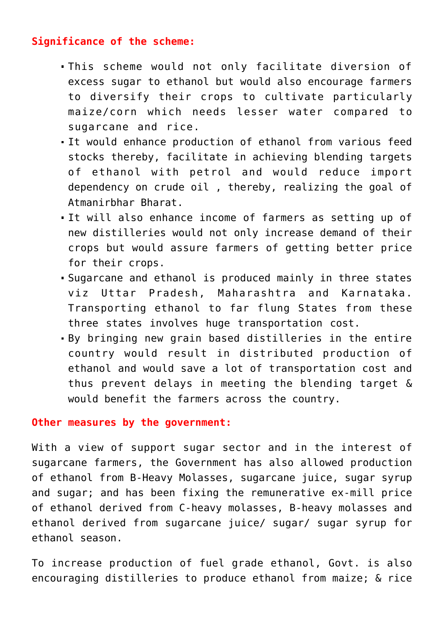### **Significance of the scheme:**

- This scheme would not only facilitate diversion of excess sugar to ethanol but would also encourage farmers to diversify their crops to cultivate particularly maize/corn which needs lesser water compared to sugarcane and rice.
- It would enhance production of ethanol from various feed stocks thereby, facilitate in achieving blending targets of ethanol with petrol and would reduce import dependency on crude oil , thereby, realizing the goal of Atmanirbhar Bharat.
- It will also enhance income of farmers as setting up of new distilleries would not only increase demand of their crops but would assure farmers of getting better price for their crops.
- Sugarcane and ethanol is produced mainly in three states viz Uttar Pradesh, Maharashtra and Karnataka. Transporting ethanol to far flung States from these three states involves huge transportation cost.
- By bringing new grain based distilleries in the entire country would result in distributed production of ethanol and would save a lot of transportation cost and thus prevent delays in meeting the blending target & would benefit the farmers across the country.

#### **Other measures by the government:**

With a view of support sugar sector and in the interest of sugarcane farmers, the Government has also allowed production of ethanol from B-Heavy Molasses, sugarcane juice, sugar syrup and sugar; and has been fixing the remunerative ex-mill price of ethanol derived from C-heavy molasses, B-heavy molasses and ethanol derived from sugarcane juice/ sugar/ sugar syrup for ethanol season.

To increase production of fuel grade ethanol, Govt. is also encouraging distilleries to produce ethanol from maize; & rice